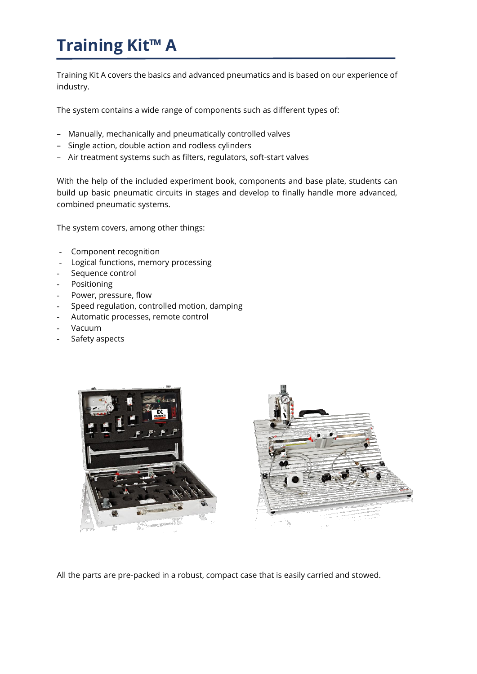# **Training Kit™ A**

Training Kit A covers the basics and advanced pneumatics and is based on our experience of industry.

The system contains a wide range of components such as different types of:

- Manually, mechanically and pneumatically controlled valves
- Single action, double action and rodless cylinders
- Air treatment systems such as filters, regulators, soft-start valves

With the help of the included experiment book, components and base plate, students can build up basic pneumatic circuits in stages and develop to finally handle more advanced, combined pneumatic systems.

The system covers, among other things:

- Component recognition
- Logical functions, memory processing
- Sequence control
- Positioning
- Power, pressure, flow
- Speed regulation, controlled motion, damping
- Automatic processes, remote control
- Vacuum
- Safety aspects



All the parts are pre-packed in a robust, compact case that is easily carried and stowed.